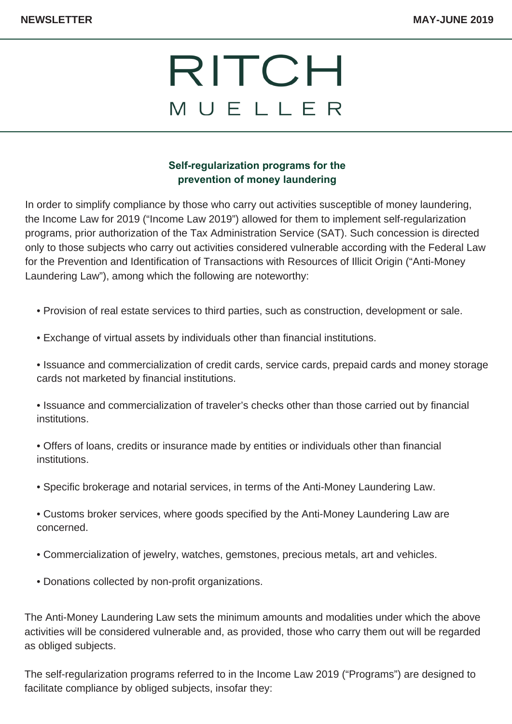## RITCH MUELLER

#### **Self-regularization programs for the prevention of money laundering**

In order to simplify compliance by those who carry out activities susceptible of money laundering, the Income Law for 2019 ("Income Law 2019") allowed for them to implement self-regularization programs, prior authorization of the Tax Administration Service (SAT). Such concession is directed only to those subjects who carry out activities considered vulnerable according with the Federal Law for the Prevention and Identification of Transactions with Resources of Illicit Origin ("Anti-Money Laundering Law"), among which the following are noteworthy:

- Provision of real estate services to third parties, such as construction, development or sale.
- Exchange of virtual assets by individuals other than financial institutions.
- Issuance and commercialization of credit cards, service cards, prepaid cards and money storage cards not marketed by financial institutions.
- Issuance and commercialization of traveler's checks other than those carried out by financial institutions.
- Offers of loans, credits or insurance made by entities or individuals other than financial institutions.
- Specific brokerage and notarial services, in terms of the Anti-Money Laundering Law.
- Customs broker services, where goods specified by the Anti-Money Laundering Law are concerned.
- Commercialization of jewelry, watches, gemstones, precious metals, art and vehicles.
- Donations collected by non-profit organizations.

The Anti-Money Laundering Law sets the minimum amounts and modalities under which the above activities will be considered vulnerable and, as provided, those who carry them out will be regarded as obliged subjects.

The self-regularization programs referred to in the Income Law 2019 ("Programs") are designed to facilitate compliance by obliged subjects, insofar they: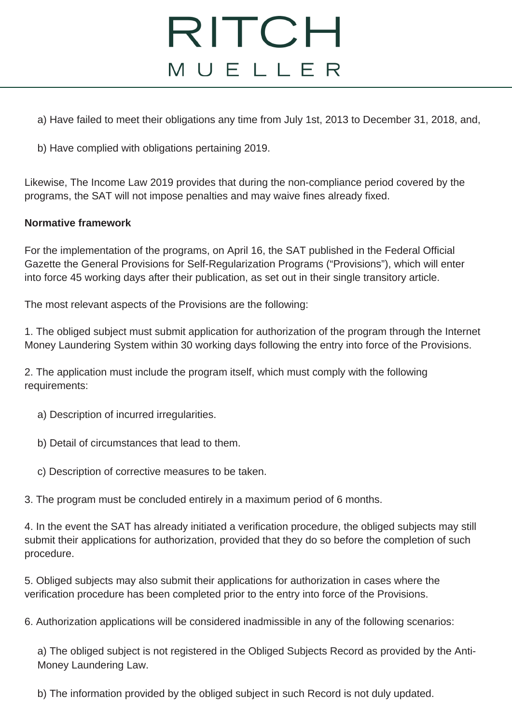## RITCH MUELLER

a) Have failed to meet their obligations any time from July 1st, 2013 to December 31, 2018, and,

b) Have complied with obligations pertaining 2019.

Likewise, The Income Law 2019 provides that during the non-compliance period covered by the programs, the SAT will not impose penalties and may waive fines already fixed.

#### **Normative framework**

For the implementation of the programs, on April 16, the SAT published in the Federal Official Gazette the General Provisions for Self-Regularization Programs ("Provisions"), which will enter into force 45 working days after their publication, as set out in their single transitory article.

The most relevant aspects of the Provisions are the following:

1. The obliged subject must submit application for authorization of the program through the Internet Money Laundering System within 30 working days following the entry into force of the Provisions.

2. The application must include the program itself, which must comply with the following requirements:

- a) Description of incurred irregularities.
- b) Detail of circumstances that lead to them.
- c) Description of corrective measures to be taken.

3. The program must be concluded entirely in a maximum period of 6 months.

4. In the event the SAT has already initiated a verification procedure, the obliged subjects may still submit their applications for authorization, provided that they do so before the completion of such procedure.

5. Obliged subjects may also submit their applications for authorization in cases where the verification procedure has been completed prior to the entry into force of the Provisions.

6. Authorization applications will be considered inadmissible in any of the following scenarios:

a) The obliged subject is not registered in the Obliged Subjects Record as provided by the Anti-Money Laundering Law.

b) The information provided by the obliged subject in such Record is not duly updated.